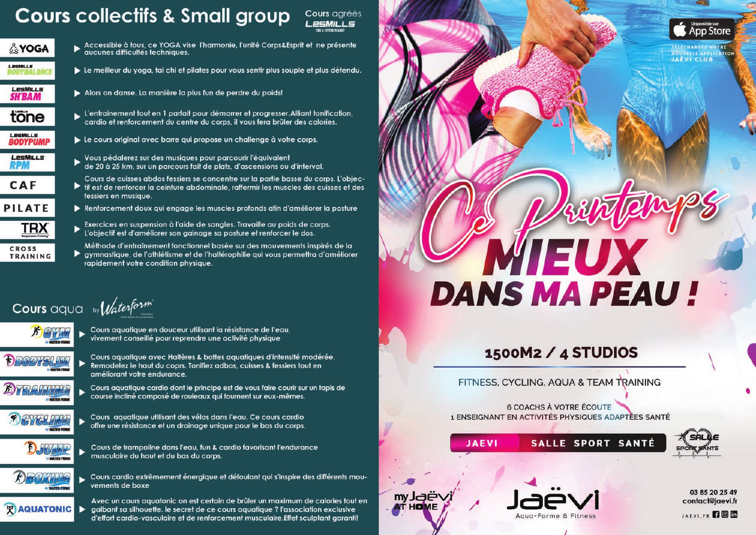## **Cours collectifs & Small group**



**CROSS** 

**TRAINING** 

Accessible à tous, ce YOGA vise l'harmonie, l'unité Corps&Esprit et ne présente<br>aucunes difficultés techniques.

Cours agréés  $P = MII I =$ 

- Le meilleur du yoga, tai chi et pilates pour vous sentir plus souple et plus détendu.
	- Alors on danse. La manière la plus fun de perdre du poids!
- L'entrainement tout en 1 parfait pour démarrer et progresser. Alliant tonification, cardio et renforcement du centre du corps, il vous fera brûler des calories.
- Le cours original avec barre qui propose un challenge à votre corps.
- .<br>Vous pédalerez sur des musiques pour parcourir l'équivalent<br>de 20 à 25 km, sur un parcours fait de plats, d'ascensions ou d'interval.
- Cours de cuisses abdos fessiers se concentre sur la partie basse du corps. L'objecif est de renforcer la ceinture abdominale, raffermir les muscles des cuisses et des fessiers en musique.
- Renforcement doux qui engage les muscles profonds afin d'améliorer la posture
- Exercices en suspension à l'aide de sangles. Travaille au poids de corps. L'objectif est d'améliorer son gainage sa posture et renforcer le dos.
- Méthode d'entraînement fonctionnel basée sur des mouvements inspirés de la ▶ gymnastique, de l'athlétisme et de l'haltérophilie qui vous permettra d'améliorer rapidement votre condition physique.

Cours aqua by Waterform



- Cours aquatique en douceur utilisant la résistance de l'eau, vivement conseillé pour reprendre une activité physique
- Cours aquatique avec Haltères & bottes aquatiques d'intensité modérée. Remodelez le haut du coprs. Tonifiez adbos, cuisses & fessiers tout en améliorant votre endurance.

course incliné composé de rouleaux qui tournent sur eux-mêmes.

Cours aquatique cardio dont le principe est de vous faire courir sur un tapis de



Cours aquatique utilisant des vélos dans l'equ. Ce cours cardio





Cours de trampoline dans l'eau, fun & cardio favorisant l'endurance musculaire du haut et du bas du corps.



Cours cardio extrêmement énergique et défoulant qui s'inspire des différents mouvements de boxe

Avec un cours aquatonic on est certain de brûler un maximum de calories tout en **AQUATONIC** aalbant sa silhouette. le secret de ce cours aquatique ? l'association exclusive d'effort cardio-vasculaire et de renforcement musculaire. Effet sculptant garanti!



## 1500M2 / 4 STUDIOS

FITNESS, CYCLING, AQUA & TEAM TRAINING

**6 COACHS À VOTRE ÉCOUTE** 1 ENSEIGNANT EN ACTIVITÉS PHYSIQUES ADAPTÉES SANTÉ

Agua-Forme & Fitness

SALLE SPORT SANTÉ

**JAEVI** 



03 85 20 25 49 contact@jaevi.fr